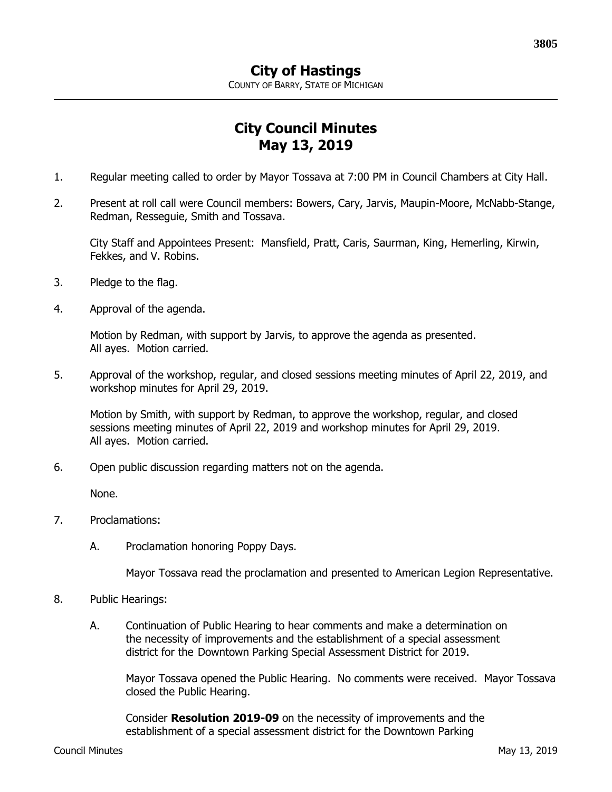## **City Council Minutes May 13, 2019**

- 1. Regular meeting called to order by Mayor Tossava at 7:00 PM in Council Chambers at City Hall.
- 2. Present at roll call were Council members: Bowers, Cary, Jarvis, Maupin-Moore, McNabb-Stange, Redman, Resseguie, Smith and Tossava.

City Staff and Appointees Present: Mansfield, Pratt, Caris, Saurman, King, Hemerling, Kirwin, Fekkes, and V. Robins.

- 3. Pledge to the flag.
- 4. Approval of the agenda.

Motion by Redman, with support by Jarvis, to approve the agenda as presented. All ayes. Motion carried.

5. Approval of the workshop, regular, and closed sessions meeting minutes of April 22, 2019, and workshop minutes for April 29, 2019.

Motion by Smith, with support by Redman, to approve the workshop, regular, and closed sessions meeting minutes of April 22, 2019 and workshop minutes for April 29, 2019. All ayes. Motion carried.

6. Open public discussion regarding matters not on the agenda.

None.

- 7. Proclamations:
	- A. Proclamation honoring Poppy Days.

Mayor Tossava read the proclamation and presented to American Legion Representative.

- 8. Public Hearings:
	- A. Continuation of Public Hearing to hear comments and make a determination on the necessity of improvements and the establishment of a special assessment district for the Downtown Parking Special Assessment District for 2019.

Mayor Tossava opened the Public Hearing. No comments were received. Mayor Tossava closed the Public Hearing.

Consider **Resolution 2019-09** on the necessity of improvements and the establishment of a special assessment district for the Downtown Parking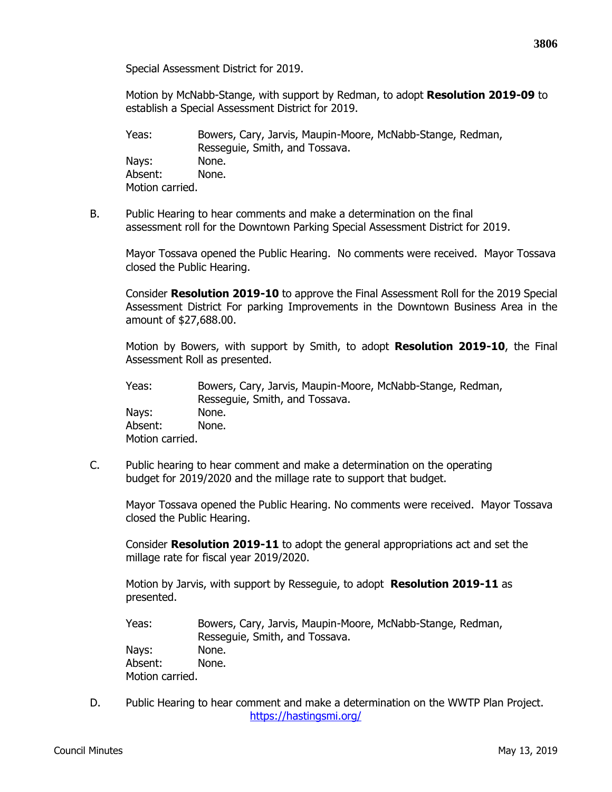Special Assessment District for 2019.

Motion by McNabb-Stange, with support by Redman, to adopt **Resolution 2019-09** to establish a Special Assessment District for 2019.

Yeas: Bowers, Cary, Jarvis, Maupin-Moore, McNabb-Stange, Redman, Resseguie, Smith, and Tossava. Nays: None. Absent: None. Motion carried.

B. Public Hearing to hear comments and make a determination on the final assessment roll for the Downtown Parking Special Assessment District for 2019.

Mayor Tossava opened the Public Hearing. No comments were received. Mayor Tossava closed the Public Hearing.

Consider **Resolution 2019-10** to approve the Final Assessment Roll for the 2019 Special Assessment District For parking Improvements in the Downtown Business Area in the amount of \$27,688.00.

Motion by Bowers, with support by Smith, to adopt **Resolution 2019-10**, the Final Assessment Roll as presented.

Yeas: Bowers, Cary, Jarvis, Maupin-Moore, McNabb-Stange, Redman, Resseguie, Smith, and Tossava. Nays: None. Absent: None. Motion carried.

C. Public hearing to hear comment and make a determination on the operating budget for 2019/2020 and the millage rate to support that budget.

Mayor Tossava opened the Public Hearing. No comments were received. Mayor Tossava closed the Public Hearing.

Consider **Resolution 2019-11** to adopt the general appropriations act and set the millage rate for fiscal year 2019/2020.

Motion by Jarvis, with support by Resseguie, to adopt **Resolution 2019-11** as presented.

- Yeas: Bowers, Cary, Jarvis, Maupin-Moore, McNabb-Stange, Redman, Resseguie, Smith, and Tossava. Nays: None. Absent: None. Motion carried.
- D. Public Hearing to hear comment and make a determination on the WWTP Plan Project. <https://hastingsmi.org/>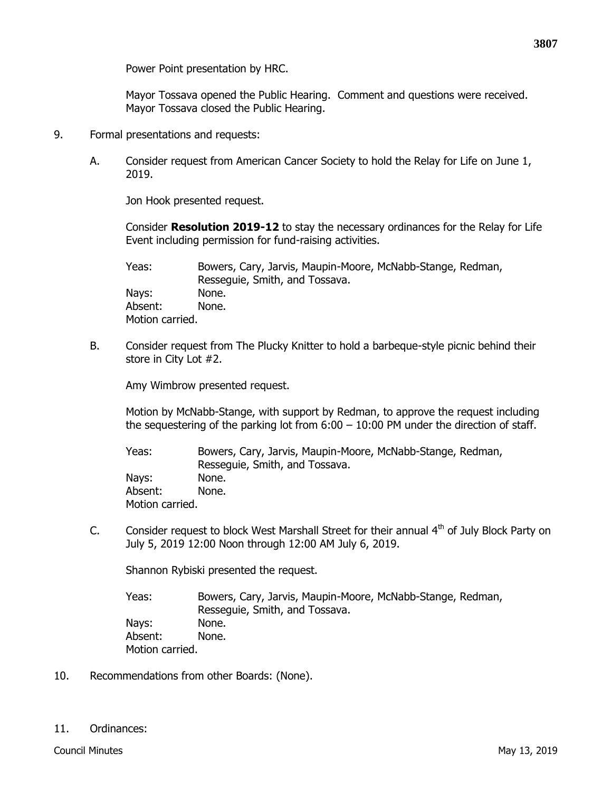Power Point presentation by HRC.

Mayor Tossava opened the Public Hearing. Comment and questions were received. Mayor Tossava closed the Public Hearing.

- 9. Formal presentations and requests:
	- A. Consider request from American Cancer Society to hold the Relay for Life on June 1, 2019.

Jon Hook presented request.

Consider **Resolution 2019-12** to stay the necessary ordinances for the Relay for Life Event including permission for fund-raising activities.

Yeas: Bowers, Cary, Jarvis, Maupin-Moore, McNabb-Stange, Redman, Resseguie, Smith, and Tossava. Nays: None. Absent: None. Motion carried.

B. Consider request from The Plucky Knitter to hold a barbeque-style picnic behind their store in City Lot #2.

Amy Wimbrow presented request.

Motion by McNabb-Stange, with support by Redman, to approve the request including the sequestering of the parking lot from  $6:00 - 10:00$  PM under the direction of staff.

Yeas: Bowers, Cary, Jarvis, Maupin-Moore, McNabb-Stange, Redman, Resseguie, Smith, and Tossava. Nays: None. Absent: None. Motion carried.

C. Consider request to block West Marshall Street for their annual  $4<sup>th</sup>$  of July Block Party on July 5, 2019 12:00 Noon through 12:00 AM July 6, 2019.

Shannon Rybiski presented the request.

Yeas: Bowers, Cary, Jarvis, Maupin-Moore, McNabb-Stange, Redman, Resseguie, Smith, and Tossava. Nays: None. Absent: None. Motion carried.

10. Recommendations from other Boards: (None).

11. Ordinances: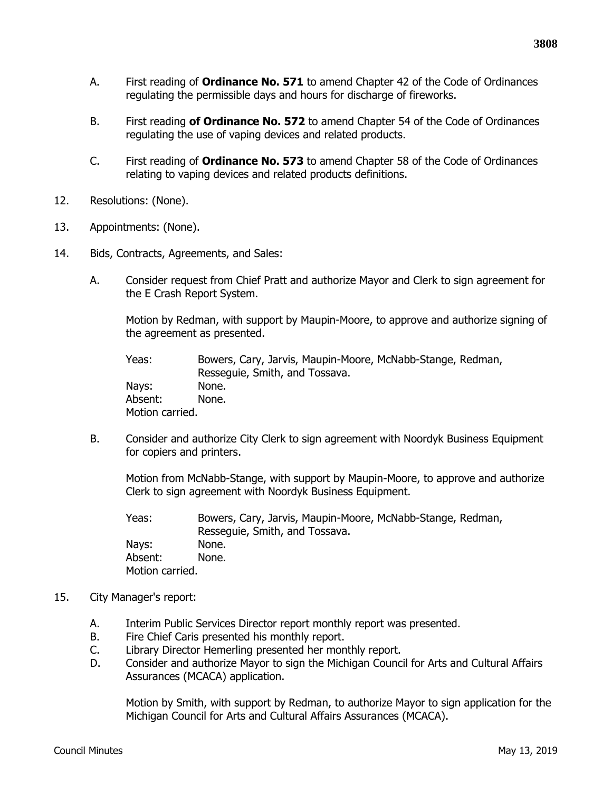- A. First reading of **Ordinance No. 571** to amend Chapter 42 of the Code of Ordinances regulating the permissible days and hours for discharge of fireworks.
- B. First reading **of Ordinance No. 572** to amend Chapter 54 of the Code of Ordinances regulating the use of vaping devices and related products.
- C. First reading of **Ordinance No. 573** to amend Chapter 58 of the Code of Ordinances relating to vaping devices and related products definitions.
- 12. Resolutions: (None).
- 13. Appointments: (None).
- 14. Bids, Contracts, Agreements, and Sales:
	- A. Consider request from Chief Pratt and authorize Mayor and Clerk to sign agreement for the E Crash Report System.

Motion by Redman, with support by Maupin-Moore, to approve and authorize signing of the agreement as presented.

Yeas: Bowers, Cary, Jarvis, Maupin-Moore, McNabb-Stange, Redman, Resseguie, Smith, and Tossava. Nays: None. Absent: None. Motion carried.

B. Consider and authorize City Clerk to sign agreement with Noordyk Business Equipment for copiers and printers.

Motion from McNabb-Stange, with support by Maupin-Moore, to approve and authorize Clerk to sign agreement with Noordyk Business Equipment.

Yeas: Bowers, Cary, Jarvis, Maupin-Moore, McNabb-Stange, Redman, Resseguie, Smith, and Tossava. Nays: None. Absent: None. Motion carried.

- 15. City Manager's report:
	- A. Interim Public Services Director report monthly report was presented.
	- B. Fire Chief Caris presented his monthly report.
	- C. Library Director Hemerling presented her monthly report.
	- D. Consider and authorize Mayor to sign the Michigan Council for Arts and Cultural Affairs Assurances (MCACA) application.

Motion by Smith, with support by Redman, to authorize Mayor to sign application for the Michigan Council for Arts and Cultural Affairs Assurances (MCACA).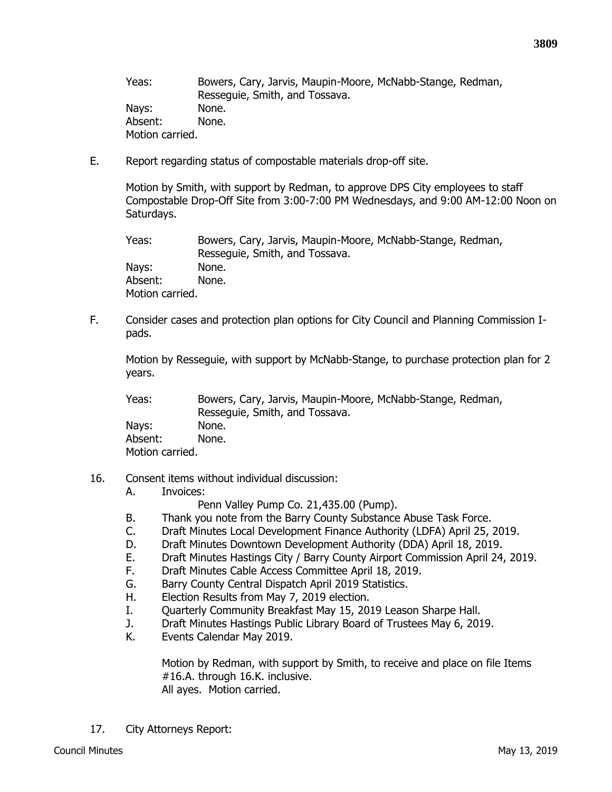Yeas: Bowers, Cary, Jarvis, Maupin-Moore, McNabb-Stange, Redman, Resseguie, Smith, and Tossava. Nays: None. Absent: None. Motion carried.

E. Report regarding status of compostable materials drop-off site.

Motion by Smith, with support by Redman, to approve DPS City employees to staff Compostable Drop-Off Site from 3:00-7:00 PM Wednesdays, and 9:00 AM-12:00 Noon on Saturdays.

Yeas: Bowers, Cary, Jarvis, Maupin-Moore, McNabb-Stange, Redman, Resseguie, Smith, and Tossava. Nays: None. Absent: None. Motion carried.

F. Consider cases and protection plan options for City Council and Planning Commission Ipads.

Motion by Resseguie, with support by McNabb-Stange, to purchase protection plan for 2 years.

Yeas: Bowers, Cary, Jarvis, Maupin-Moore, McNabb-Stange, Redman, Resseguie, Smith, and Tossava. Nays: None. Absent: None.

Motion carried.

16. Consent items without individual discussion:

## A. Invoices:

Penn Valley Pump Co. 21,435.00 (Pump).

- B. Thank you note from the Barry County Substance Abuse Task Force.
- C. Draft Minutes Local Development Finance Authority (LDFA) April 25, 2019.
- D. Draft Minutes Downtown Development Authority (DDA) April 18, 2019.
- E. Draft Minutes Hastings City / Barry County Airport Commission April 24, 2019.
- F. Draft Minutes Cable Access Committee April 18, 2019.
- G. Barry County Central Dispatch April 2019 Statistics.
- H. Election Results from May 7, 2019 election.
- I. Quarterly Community Breakfast May 15, 2019 Leason Sharpe Hall.
- J. Draft Minutes Hastings Public Library Board of Trustees May 6, 2019.
- K. Events Calendar May 2019.

Motion by Redman, with support by Smith, to receive and place on file Items #16.A. through 16.K. inclusive. All ayes. Motion carried.

17. City Attorneys Report: